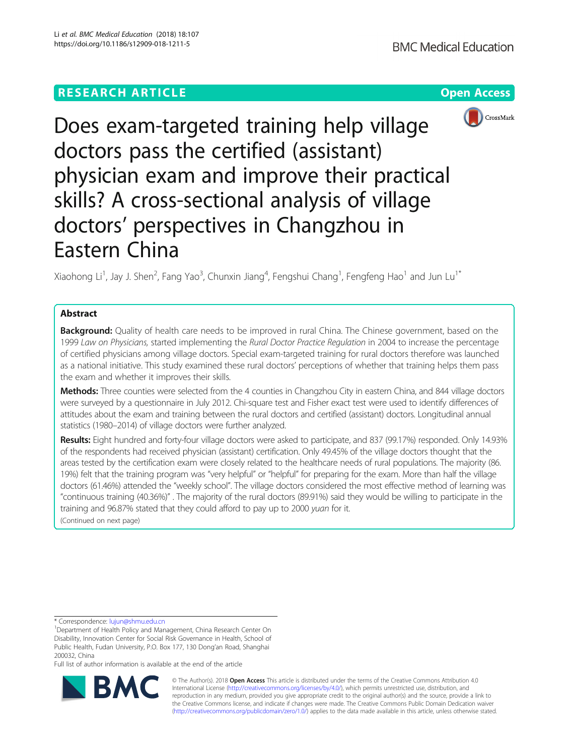# **RESEARCH ARTICLE Example 2014 12:30 The Contract of Contract ACCESS**



Does exam-targeted training help village doctors pass the certified (assistant) physician exam and improve their practical skills? A cross-sectional analysis of village doctors' perspectives in Changzhou in Eastern China

Xiaohong Li<sup>1</sup>, Jay J. Shen<sup>2</sup>, Fang Yao<sup>3</sup>, Chunxin Jiang<sup>4</sup>, Fengshui Chang<sup>1</sup>, Fengfeng Hao<sup>1</sup> and Jun Lu<sup>1\*</sup>

## Abstract

Background: Quality of health care needs to be improved in rural China. The Chinese government, based on the 1999 Law on Physicians, started implementing the Rural Doctor Practice Regulation in 2004 to increase the percentage of certified physicians among village doctors. Special exam-targeted training for rural doctors therefore was launched as a national initiative. This study examined these rural doctors' perceptions of whether that training helps them pass the exam and whether it improves their skills.

Methods: Three counties were selected from the 4 counties in Changzhou City in eastern China, and 844 village doctors were surveyed by a questionnaire in July 2012. Chi-square test and Fisher exact test were used to identify differences of attitudes about the exam and training between the rural doctors and certified (assistant) doctors. Longitudinal annual statistics (1980–2014) of village doctors were further analyzed.

Results: Eight hundred and forty-four village doctors were asked to participate, and 837 (99.17%) responded. Only 14.93% of the respondents had received physician (assistant) certification. Only 49.45% of the village doctors thought that the areas tested by the certification exam were closely related to the healthcare needs of rural populations. The majority (86. 19%) felt that the training program was "very helpful" or "helpful" for preparing for the exam. More than half the village doctors (61.46%) attended the "weekly school". The village doctors considered the most effective method of learning was "continuous training (40.36%)" . The majority of the rural doctors (89.91%) said they would be willing to participate in the training and 96.87% stated that they could afford to pay up to 2000 yuan for it. (Continued on next page)

\* Correspondence: [lujun@shmu.edu.cn](mailto:lujun@shmu.edu.cn) <sup>1</sup>

Full list of author information is available at the end of the article



© The Author(s). 2018 Open Access This article is distributed under the terms of the Creative Commons Attribution 4.0 International License [\(http://creativecommons.org/licenses/by/4.0/](http://creativecommons.org/licenses/by/4.0/)), which permits unrestricted use, distribution, and reproduction in any medium, provided you give appropriate credit to the original author(s) and the source, provide a link to the Creative Commons license, and indicate if changes were made. The Creative Commons Public Domain Dedication waiver [\(http://creativecommons.org/publicdomain/zero/1.0/](http://creativecommons.org/publicdomain/zero/1.0/)) applies to the data made available in this article, unless otherwise stated.

<sup>&</sup>lt;sup>1</sup>Department of Health Policy and Management, China Research Center On Disability, Innovation Center for Social Risk Governance in Health, School of Public Health, Fudan University, P.O. Box 177, 130 Dong'an Road, Shanghai 200032, China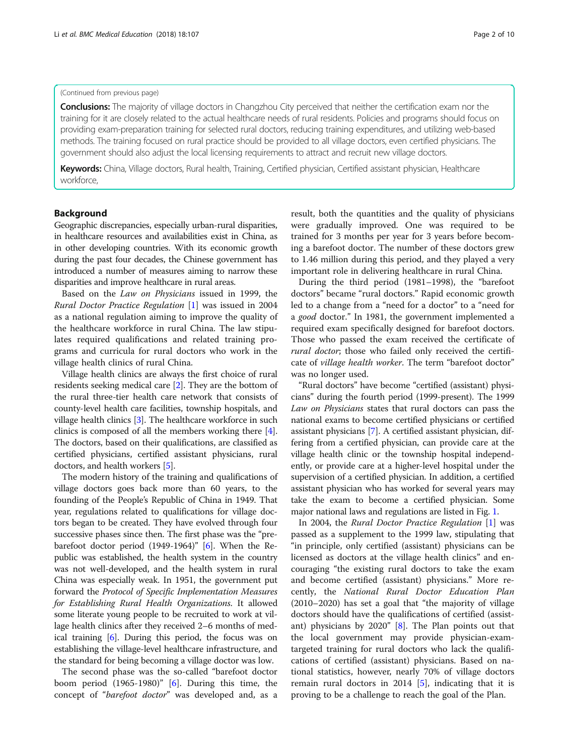### (Continued from previous page)

**Conclusions:** The majority of village doctors in Changzhou City perceived that neither the certification exam nor the training for it are closely related to the actual healthcare needs of rural residents. Policies and programs should focus on providing exam-preparation training for selected rural doctors, reducing training expenditures, and utilizing web-based methods. The training focused on rural practice should be provided to all village doctors, even certified physicians. The government should also adjust the local licensing requirements to attract and recruit new village doctors.

Keywords: China, Village doctors, Rural health, Training, Certified physician, Certified assistant physician, Healthcare workforce,

### Background

Geographic discrepancies, especially urban-rural disparities, in healthcare resources and availabilities exist in China, as in other developing countries. With its economic growth during the past four decades, the Chinese government has introduced a number of measures aiming to narrow these disparities and improve healthcare in rural areas.

Based on the Law on Physicians issued in 1999, the Rural Doctor Practice Regulation [[1\]](#page-8-0) was issued in 2004 as a national regulation aiming to improve the quality of the healthcare workforce in rural China. The law stipulates required qualifications and related training programs and curricula for rural doctors who work in the village health clinics of rural China.

Village health clinics are always the first choice of rural residents seeking medical care [\[2\]](#page-8-0). They are the bottom of the rural three-tier health care network that consists of county-level health care facilities, township hospitals, and village health clinics [\[3\]](#page-8-0). The healthcare workforce in such clinics is composed of all the members working there [[4](#page-8-0)]. The doctors, based on their qualifications, are classified as certified physicians, certified assistant physicians, rural doctors, and health workers [[5](#page-8-0)].

The modern history of the training and qualifications of village doctors goes back more than 60 years, to the founding of the People's Republic of China in 1949. That year, regulations related to qualifications for village doctors began to be created. They have evolved through four successive phases since then. The first phase was the "prebarefoot doctor period (1949-1964)" [\[6](#page-8-0)]. When the Republic was established, the health system in the country was not well-developed, and the health system in rural China was especially weak. In 1951, the government put forward the Protocol of Specific Implementation Measures for Establishing Rural Health Organizations. It allowed some literate young people to be recruited to work at village health clinics after they received 2–6 months of medical training [[6\]](#page-8-0). During this period, the focus was on establishing the village-level healthcare infrastructure, and the standard for being becoming a village doctor was low.

The second phase was the so-called "barefoot doctor boom period (1965-1980)" [[6\]](#page-8-0). During this time, the concept of "barefoot doctor" was developed and, as a result, both the quantities and the quality of physicians were gradually improved. One was required to be trained for 3 months per year for 3 years before becoming a barefoot doctor. The number of these doctors grew to 1.46 million during this period, and they played a very important role in delivering healthcare in rural China.

During the third period (1981–1998), the "barefoot doctors" became "rural doctors." Rapid economic growth led to a change from a "need for a doctor" to a "need for a good doctor." In 1981, the government implemented a required exam specifically designed for barefoot doctors. Those who passed the exam received the certificate of rural doctor; those who failed only received the certificate of village health worker. The term "barefoot doctor" was no longer used.

"Rural doctors" have become "certified (assistant) physicians" during the fourth period (1999-present). The 1999 Law on Physicians states that rural doctors can pass the national exams to become certified physicians or certified assistant physicians [\[7\]](#page-8-0). A certified assistant physician, differing from a certified physician, can provide care at the village health clinic or the township hospital independently, or provide care at a higher-level hospital under the supervision of a certified physician. In addition, a certified assistant physician who has worked for several years may take the exam to become a certified physician. Some major national laws and regulations are listed in Fig. [1](#page-2-0).

In 2004, the Rural Doctor Practice Regulation [[1](#page-8-0)] was passed as a supplement to the 1999 law, stipulating that "in principle, only certified (assistant) physicians can be licensed as doctors at the village health clinics" and encouraging "the existing rural doctors to take the exam and become certified (assistant) physicians." More recently, the National Rural Doctor Education Plan (2010–2020) has set a goal that "the majority of village doctors should have the qualifications of certified (assistant) physicians by 2020" [[8\]](#page-8-0). The Plan points out that the local government may provide physician-examtargeted training for rural doctors who lack the qualifications of certified (assistant) physicians. Based on national statistics, however, nearly 70% of village doctors remain rural doctors in 2014 [[5](#page-8-0)], indicating that it is proving to be a challenge to reach the goal of the Plan.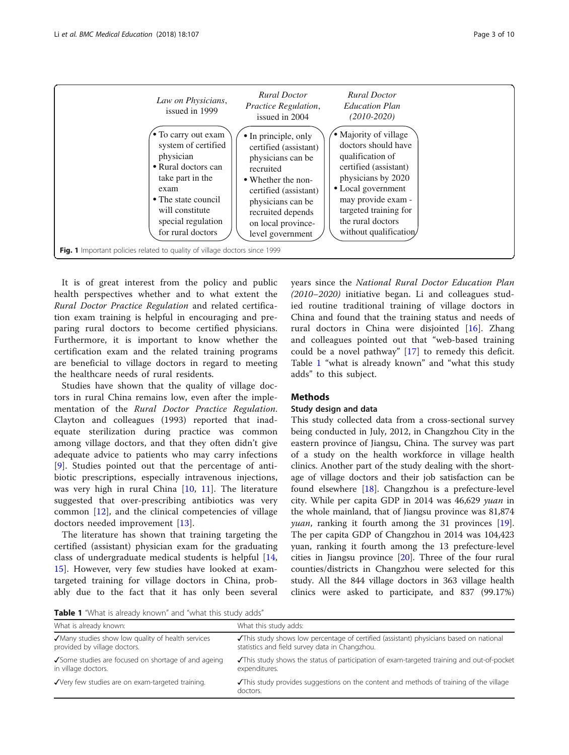<span id="page-2-0"></span>

It is of great interest from the policy and public health perspectives whether and to what extent the Rural Doctor Practice Regulation and related certification exam training is helpful in encouraging and preparing rural doctors to become certified physicians. Furthermore, it is important to know whether the certification exam and the related training programs are beneficial to village doctors in regard to meeting the healthcare needs of rural residents.

Studies have shown that the quality of village doctors in rural China remains low, even after the implementation of the Rural Doctor Practice Regulation. Clayton and colleagues (1993) reported that inadequate sterilization during practice was common among village doctors, and that they often didn't give adequate advice to patients who may carry infections [[9\]](#page-8-0). Studies pointed out that the percentage of antibiotic prescriptions, especially intravenous injections, was very high in rural China [\[10](#page-8-0), [11\]](#page-8-0). The literature suggested that over-prescribing antibiotics was very common [[12](#page-8-0)], and the clinical competencies of village doctors needed improvement [\[13](#page-8-0)].

The literature has shown that training targeting the certified (assistant) physician exam for the graduating class of undergraduate medical students is helpful [\[14](#page-8-0), [15\]](#page-8-0). However, very few studies have looked at examtargeted training for village doctors in China, probably due to the fact that it has only been several years since the National Rural Doctor Education Plan (2010–2020) initiative began. Li and colleagues studied routine traditional training of village doctors in China and found that the training status and needs of rural doctors in China were disjointed [\[16](#page-9-0)]. Zhang and colleagues pointed out that "web-based training could be a novel pathway" [\[17](#page-9-0)] to remedy this deficit. Table 1 "what is already known" and "what this study adds" to this subject.

### Methods

### Study design and data

This study collected data from a cross-sectional survey being conducted in July, 2012, in Changzhou City in the eastern province of Jiangsu, China. The survey was part of a study on the health workforce in village health clinics. Another part of the study dealing with the shortage of village doctors and their job satisfaction can be found elsewhere [[18\]](#page-9-0). Changzhou is a prefecture-level city. While per capita GDP in 2014 was 46,629 yuan in the whole mainland, that of Jiangsu province was 81,874 *ruan*, ranking it fourth among the 31 provinces [\[19](#page-9-0)]. The per capita GDP of Changzhou in 2014 was 104,423 yuan, ranking it fourth among the 13 prefecture-level cities in Jiangsu province [\[20](#page-9-0)]. Three of the four rural counties/districts in Changzhou were selected for this study. All the 844 village doctors in 363 village health clinics were asked to participate, and 837 (99.17%)

Table 1 "What is already known" and "what this study adds"

| <b>TUDIC I</b> VITIGLED UNCOUP INTO VITE UNION VITIGLETING SEGUY GUOS             |                                                                                                                                         |  |  |  |
|-----------------------------------------------------------------------------------|-----------------------------------------------------------------------------------------------------------------------------------------|--|--|--|
| What is already known:                                                            | What this study adds:                                                                                                                   |  |  |  |
| √Many studies show low quality of health services<br>provided by village doctors. | This study shows low percentage of certified (assistant) physicians based on national<br>statistics and field survey data in Changzhou. |  |  |  |
| √Some studies are focused on shortage of and ageing<br>in village doctors.        | This study shows the status of participation of exam-targeted training and out-of-pocket<br>expenditures.                               |  |  |  |
| √Very few studies are on exam-targeted training.                                  | This study provides suggestions on the content and methods of training of the village<br>doctors.                                       |  |  |  |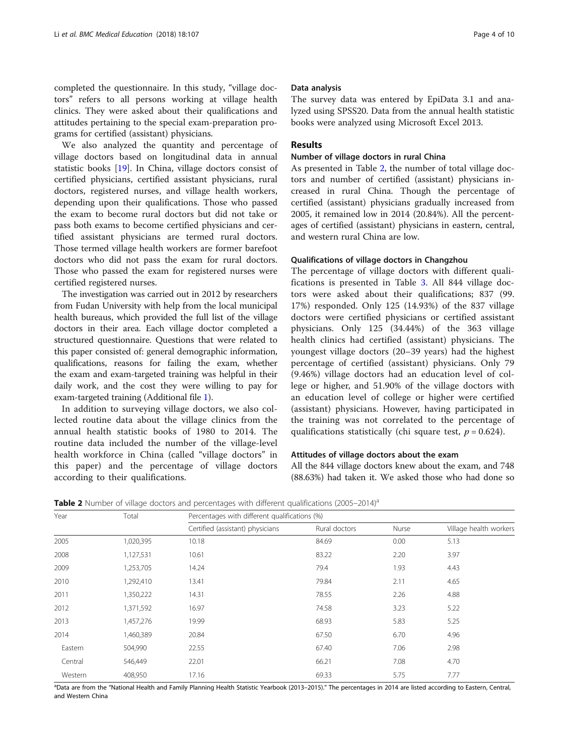completed the questionnaire. In this study, "village doctors" refers to all persons working at village health clinics. They were asked about their qualifications and attitudes pertaining to the special exam-preparation programs for certified (assistant) physicians.

We also analyzed the quantity and percentage of village doctors based on longitudinal data in annual statistic books [\[19\]](#page-9-0). In China, village doctors consist of certified physicians, certified assistant physicians, rural doctors, registered nurses, and village health workers, depending upon their qualifications. Those who passed the exam to become rural doctors but did not take or pass both exams to become certified physicians and certified assistant physicians are termed rural doctors. Those termed village health workers are former barefoot doctors who did not pass the exam for rural doctors. Those who passed the exam for registered nurses were certified registered nurses.

The investigation was carried out in 2012 by researchers from Fudan University with help from the local municipal health bureaus, which provided the full list of the village doctors in their area. Each village doctor completed a structured questionnaire. Questions that were related to this paper consisted of: general demographic information, qualifications, reasons for failing the exam, whether the exam and exam-targeted training was helpful in their daily work, and the cost they were willing to pay for exam-targeted training (Additional file [1\)](#page-8-0).

In addition to surveying village doctors, we also collected routine data about the village clinics from the annual health statistic books of 1980 to 2014. The routine data included the number of the village-level health workforce in China (called "village doctors" in this paper) and the percentage of village doctors according to their qualifications.

#### Data analysis

The survey data was entered by EpiData 3.1 and analyzed using SPSS20. Data from the annual health statistic books were analyzed using Microsoft Excel 2013.

### Results

### Number of village doctors in rural China

As presented in Table 2, the number of total village doctors and number of certified (assistant) physicians increased in rural China. Though the percentage of certified (assistant) physicians gradually increased from 2005, it remained low in 2014 (20.84%). All the percentages of certified (assistant) physicians in eastern, central, and western rural China are low.

### Qualifications of village doctors in Changzhou

The percentage of village doctors with different qualifications is presented in Table [3.](#page-4-0) All 844 village doctors were asked about their qualifications; 837 (99. 17%) responded. Only 125 (14.93%) of the 837 village doctors were certified physicians or certified assistant physicians. Only 125 (34.44%) of the 363 village health clinics had certified (assistant) physicians. The youngest village doctors (20–39 years) had the highest percentage of certified (assistant) physicians. Only 79 (9.46%) village doctors had an education level of college or higher, and 51.90% of the village doctors with an education level of college or higher were certified (assistant) physicians. However, having participated in the training was not correlated to the percentage of qualifications statistically (chi square test,  $p = 0.624$ ).

### Attitudes of village doctors about the exam

All the 844 village doctors knew about the exam, and 748 (88.63%) had taken it. We asked those who had done so

**Table 2** Number of village doctors and percentages with different qualifications (2005–2014)<sup>a</sup>

| Year<br>Total |           | Percentages with different qualifications (%) |               |       |                        |  |
|---------------|-----------|-----------------------------------------------|---------------|-------|------------------------|--|
|               |           | Certified (assistant) physicians              | Rural doctors | Nurse | Village health workers |  |
| 2005          | 1,020,395 | 10.18                                         | 84.69         | 0.00  | 5.13                   |  |
| 2008          | 1,127,531 | 10.61                                         | 83.22         | 2.20  | 3.97                   |  |
| 2009          | 1,253,705 | 14.24                                         | 79.4          | 1.93  | 4.43                   |  |
| 2010          | 1,292,410 | 13.41                                         | 79.84         | 2.11  | 4.65                   |  |
| 2011          | 1,350,222 | 14.31                                         | 78.55         | 2.26  | 4.88                   |  |
| 2012          | 1,371,592 | 16.97                                         | 74.58         | 3.23  | 5.22                   |  |
| 2013          | 1,457,276 | 19.99                                         | 68.93         | 5.83  | 5.25                   |  |
| 2014          | 1,460,389 | 20.84                                         | 67.50         | 6.70  | 4.96                   |  |
| Eastern       | 504,990   | 22.55                                         | 67.40         | 7.06  | 2.98                   |  |
| Central       | 546,449   | 22.01                                         | 66.21         | 7.08  | 4.70                   |  |
| Western       | 408,950   | 17.16                                         | 69.33         | 5.75  | 7.77                   |  |

a<br>Data are from the "National Health and Family Planning Health Statistic Yearbook (2013–2015)." The percentages in 2014 are listed according to Eastern, Central, and Western China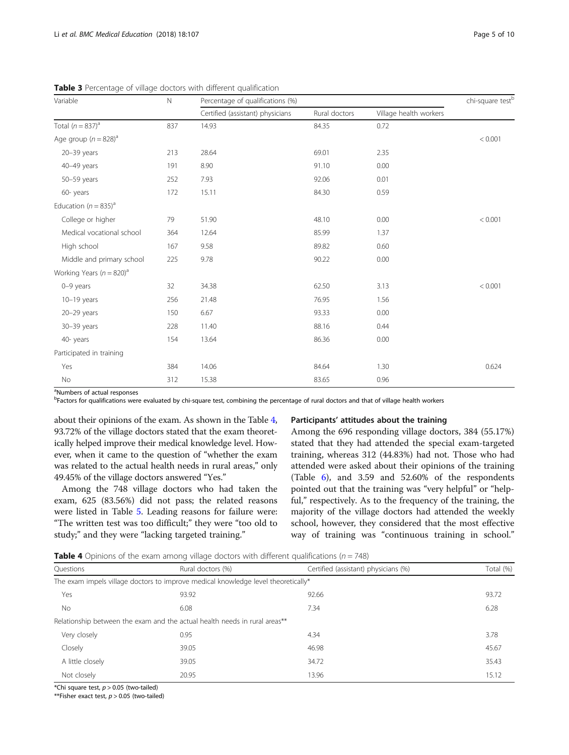| Variable                                 | $\mathbb N$ | Percentage of qualifications (%) |               |                        |         |
|------------------------------------------|-------------|----------------------------------|---------------|------------------------|---------|
|                                          |             | Certified (assistant) physicians | Rural doctors | Village health workers |         |
| Total $(n = 837)^a$                      | 837         | 14.93                            | 84.35         | 0.72                   |         |
| Age group $(n = 828)^a$                  |             |                                  |               |                        | < 0.001 |
| $20 - 39$ years                          | 213         | 28.64                            | 69.01         | 2.35                   |         |
| 40-49 years                              | 191         | 8.90                             | 91.10         | 0.00                   |         |
| 50-59 years                              | 252         | 7.93                             | 92.06         | 0.01                   |         |
| 60-years                                 | 172         | 15.11                            | 84.30         | 0.59                   |         |
| Education ( $n = 835$ ) <sup>a</sup>     |             |                                  |               |                        |         |
| College or higher                        | 79          | 51.90                            | 48.10         | 0.00                   | < 0.001 |
| Medical vocational school                | 364         | 12.64                            | 85.99         | 1.37                   |         |
| High school                              | 167         | 9.58                             | 89.82         | 0.60                   |         |
| Middle and primary school                | 225         | 9.78                             | 90.22         | 0.00                   |         |
| Working Years ( $n = 820$ ) <sup>a</sup> |             |                                  |               |                        |         |
| $0-9$ years                              | 32          | 34.38                            | 62.50         | 3.13                   | < 0.001 |
| $10-19$ years                            | 256         | 21.48                            | 76.95         | 1.56                   |         |
| 20-29 years                              | 150         | 6.67                             | 93.33         | 0.00                   |         |
| 30-39 years                              | 228         | 11.40                            | 88.16         | 0.44                   |         |
| 40-years                                 | 154         | 13.64                            | 86.36         | 0.00                   |         |
| Participated in training                 |             |                                  |               |                        |         |
| Yes                                      | 384         | 14.06                            | 84.64         | 1.30                   | 0.624   |
| No                                       | 312         | 15.38                            | 83.65         | 0.96                   |         |

<span id="page-4-0"></span>Table 3 Percentage of village doctors with different qualification

<sup>a</sup>Numbers of actual responses

b<br><sup>b</sup>Factors for qualifications were evaluated by chi-square test, combining the percentage of rural doctors and that of village health workers

about their opinions of the exam. As shown in the Table 4, 93.72% of the village doctors stated that the exam theoretically helped improve their medical knowledge level. However, when it came to the question of "whether the exam was related to the actual health needs in rural areas," only 49.45% of the village doctors answered "Yes."

Among the 748 village doctors who had taken the exam, 625 (83.56%) did not pass; the related reasons were listed in Table [5.](#page-5-0) Leading reasons for failure were: "The written test was too difficult;" they were "too old to study;" and they were "lacking targeted training."

#### Participants' attitudes about the training

Among the 696 responding village doctors, 384 (55.17%) stated that they had attended the special exam-targeted training, whereas 312 (44.83%) had not. Those who had attended were asked about their opinions of the training (Table [6\)](#page-5-0), and 3.59 and 52.60% of the respondents pointed out that the training was "very helpful" or "helpful," respectively. As to the frequency of the training, the majority of the village doctors had attended the weekly school, however, they considered that the most effective way of training was "continuous training in school."

**Table 4** Opinions of the exam among village doctors with different qualifications  $(n - 748)$ 

| <b>Rable +</b> Optimons of the exam among village doctors with uniterent qualifications (n = 7 To) |                                                                                   |                                      |           |  |
|----------------------------------------------------------------------------------------------------|-----------------------------------------------------------------------------------|--------------------------------------|-----------|--|
| <b>Ouestions</b>                                                                                   | Rural doctors (%)                                                                 | Certified (assistant) physicians (%) | Total (%) |  |
|                                                                                                    | The exam impels village doctors to improve medical knowledge level theoretically* |                                      |           |  |
| Yes                                                                                                | 93.92                                                                             | 92.66                                | 93.72     |  |
| No.                                                                                                | 6.08                                                                              | 7.34                                 | 6.28      |  |
|                                                                                                    | Relationship between the exam and the actual health needs in rural areas**        |                                      |           |  |
| Very closely                                                                                       | 0.95                                                                              | 4.34                                 | 3.78      |  |
| Closely                                                                                            | 39.05                                                                             | 46.98                                | 45.67     |  |
| A little closely                                                                                   | 39.05                                                                             | 34.72                                | 35.43     |  |
| Not closely                                                                                        | 20.95                                                                             | 13.96                                | 15.12     |  |

\*Chi square test,  $p > 0.05$  (two-tailed)

\*\*Fisher exact test,  $p > 0.05$  (two-tailed)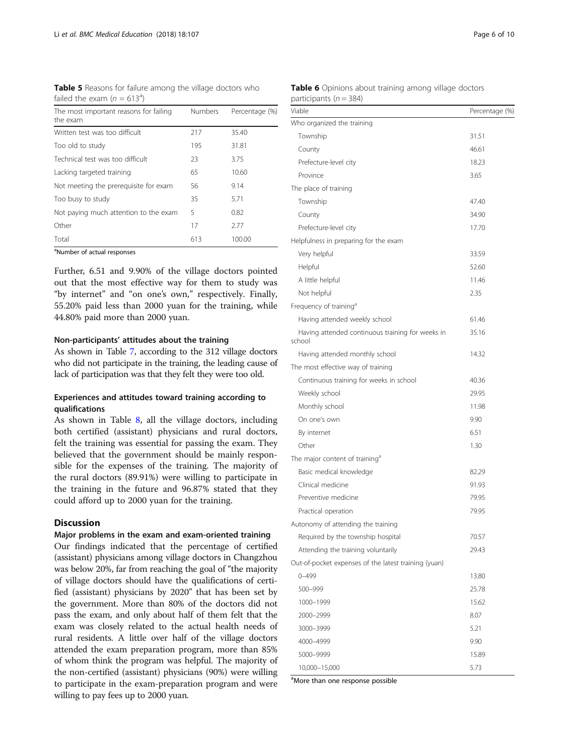<span id="page-5-0"></span>Table 5 Reasons for failure among the village doctors who failed the exam  $(n = 613^a)$ 

| The most important reasons for failing<br>the exam | <b>Numbers</b> | Percentage (%) |
|----------------------------------------------------|----------------|----------------|
| Written test was too difficult                     | 217            | 35.40          |
| Too old to study                                   | 195            | 31.81          |
| Technical test was too difficult                   | 23             | 3.75           |
| Lacking targeted training                          | 65             | 10.60          |
| Not meeting the prerequisite for exam              | 56             | 9.14           |
| Too busy to study                                  | 35             | 5.71           |
| Not paying much attention to the exam              | 5              | 0.82           |
| Other                                              | 17             | 2.77           |
| Total                                              | 613            | 100.00         |

<sup>a</sup>Number of actual responses

Further, 6.51 and 9.90% of the village doctors pointed out that the most effective way for them to study was "by internet" and "on one's own," respectively. Finally, 55.20% paid less than 2000 yuan for the training, while 44.80% paid more than 2000 yuan.

#### Non-participants' attitudes about the training

As shown in Table [7,](#page-6-0) according to the 312 village doctors who did not participate in the training, the leading cause of lack of participation was that they felt they were too old.

### Experiences and attitudes toward training according to qualifications

As shown in Table [8,](#page-6-0) all the village doctors, including both certified (assistant) physicians and rural doctors, felt the training was essential for passing the exam. They believed that the government should be mainly responsible for the expenses of the training. The majority of the rural doctors (89.91%) were willing to participate in the training in the future and 96.87% stated that they could afford up to 2000 yuan for the training.

### **Discussion**

### Major problems in the exam and exam-oriented training

Our findings indicated that the percentage of certified (assistant) physicians among village doctors in Changzhou was below 20%, far from reaching the goal of "the majority of village doctors should have the qualifications of certified (assistant) physicians by 2020" that has been set by the government. More than 80% of the doctors did not pass the exam, and only about half of them felt that the exam was closely related to the actual health needs of rural residents. A little over half of the village doctors attended the exam preparation program, more than 85% of whom think the program was helpful. The majority of the non-certified (assistant) physicians (90%) were willing to participate in the exam-preparation program and were willing to pay fees up to 2000 yuan.

| <b>Table 6</b> Opinions about training among village doctors |  |  |  |
|--------------------------------------------------------------|--|--|--|
| participants ( $n = 384$ )                                   |  |  |  |

| participants ( $n = 384$ )                                 |                |
|------------------------------------------------------------|----------------|
| Viable                                                     | Percentage (%) |
| Who organized the training                                 |                |
| Township                                                   | 31.51          |
| County                                                     | 46.61          |
| Prefecture-level city                                      | 18.23          |
| Province                                                   | 3.65           |
| The place of training                                      |                |
| Township                                                   | 47.40          |
| County                                                     | 34.90          |
| Prefecture-level city                                      | 17.70          |
| Helpfulness in preparing for the exam                      |                |
| Very helpful                                               | 33.59          |
| Helpful                                                    | 52.60          |
| A little helpful                                           | 11.46          |
| Not helpful                                                | 2.35           |
| Frequency of training <sup>a</sup>                         |                |
| Having attended weekly school                              | 61.46          |
| Having attended continuous training for weeks in<br>school | 35.16          |
| Having attended monthly school                             | 14.32          |
| The most effective way of training                         |                |
| Continuous training for weeks in school                    | 40.36          |
| Weekly school                                              | 29.95          |
| Monthly school                                             | 11.98          |
| On one's own                                               | 9.90           |
| By internet                                                | 6.51           |
| Other                                                      | 1.30           |
| The major content of training <sup>a</sup>                 |                |
| Basic medical knowledge                                    | 82.29          |
| Clinical medicine                                          | 91.93          |
| Preventive medicine                                        | 79.95          |
| Practical operation                                        | 79.95          |
| Autonomy of attending the training                         |                |
| Required by the township hospital                          | 70.57          |
| Attending the training voluntarily                         | 29.43          |
| Out-of-pocket expenses of the latest training (yuan)       |                |
| $0 - 499$                                                  | 13.80          |
| 500-999                                                    | 25.78          |
| 1000-1999                                                  | 15.62          |
| 2000-2999                                                  | 8.07           |
| 3000-3999                                                  | 5.21           |
| 4000-4999                                                  | 9.90           |
| 5000-9999                                                  | 15.89          |
| 10,000-15,000                                              | 5.73           |

<sup>a</sup>More than one response possible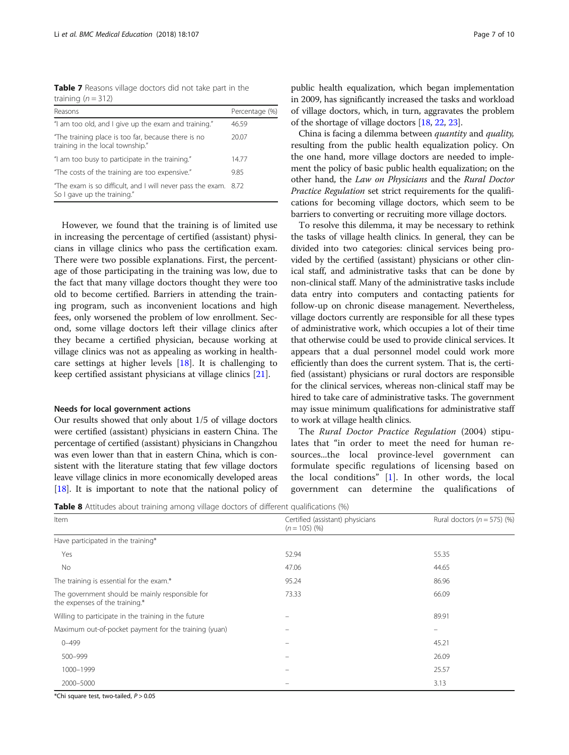<span id="page-6-0"></span>Table 7 Reasons village doctors did not take part in the training  $(n = 312)$ 

| Reasons                                                                                        | Percentage (%) |
|------------------------------------------------------------------------------------------------|----------------|
| "I am too old, and I give up the exam and training."                                           | 46.59          |
| "The training place is too far, because there is no<br>training in the local township."        | 20.07          |
| "I am too busy to participate in the training."                                                | 14.77          |
| "The costs of the training are too expensive."                                                 | 9.85           |
| "The exam is so difficult, and I will never pass the exam. 8.72<br>So I gave up the training." |                |

However, we found that the training is of limited use in increasing the percentage of certified (assistant) physicians in village clinics who pass the certification exam. There were two possible explanations. First, the percentage of those participating in the training was low, due to the fact that many village doctors thought they were too old to become certified. Barriers in attending the training program, such as inconvenient locations and high fees, only worsened the problem of low enrollment. Second, some village doctors left their village clinics after they became a certified physician, because working at village clinics was not as appealing as working in healthcare settings at higher levels [\[18](#page-9-0)]. It is challenging to keep certified assistant physicians at village clinics [[21\]](#page-9-0).

#### Needs for local government actions

Our results showed that only about 1/5 of village doctors were certified (assistant) physicians in eastern China. The percentage of certified (assistant) physicians in Changzhou was even lower than that in eastern China, which is consistent with the literature stating that few village doctors leave village clinics in more economically developed areas [[18](#page-9-0)]. It is important to note that the national policy of

public health equalization, which began implementation in 2009, has significantly increased the tasks and workload of village doctors, which, in turn, aggravates the problem of the shortage of village doctors [[18,](#page-9-0) [22,](#page-9-0) [23](#page-9-0)].

China is facing a dilemma between quantity and quality, resulting from the public health equalization policy. On the one hand, more village doctors are needed to implement the policy of basic public health equalization; on the other hand, the Law on Physicians and the Rural Doctor Practice Regulation set strict requirements for the qualifications for becoming village doctors, which seem to be barriers to converting or recruiting more village doctors.

To resolve this dilemma, it may be necessary to rethink the tasks of village health clinics. In general, they can be divided into two categories: clinical services being provided by the certified (assistant) physicians or other clinical staff, and administrative tasks that can be done by non-clinical staff. Many of the administrative tasks include data entry into computers and contacting patients for follow-up on chronic disease management. Nevertheless, village doctors currently are responsible for all these types of administrative work, which occupies a lot of their time that otherwise could be used to provide clinical services. It appears that a dual personnel model could work more efficiently than does the current system. That is, the certified (assistant) physicians or rural doctors are responsible for the clinical services, whereas non-clinical staff may be hired to take care of administrative tasks. The government may issue minimum qualifications for administrative staff to work at village health clinics.

The Rural Doctor Practice Regulation (2004) stipulates that "in order to meet the need for human resources...the local province-level government can formulate specific regulations of licensing based on the local conditions"  $[1]$  $[1]$ . In other words, the local government can determine the qualifications of

**Table 8** Attitudes about training among village doctors of different qualifications (%)

| Item                                                                              | Certified (assistant) physicians<br>$(n = 105)$ (%) | Rural doctors ( $n = 575$ ) (%) |
|-----------------------------------------------------------------------------------|-----------------------------------------------------|---------------------------------|
| Have participated in the training*                                                |                                                     |                                 |
| Yes                                                                               | 52.94                                               | 55.35                           |
| No                                                                                | 47.06                                               | 44.65                           |
| The training is essential for the exam.*                                          | 95.24                                               | 86.96                           |
| The government should be mainly responsible for<br>the expenses of the training.* | 73.33                                               | 66.09                           |
| Willing to participate in the training in the future                              |                                                     | 89.91                           |
| Maximum out-of-pocket payment for the training (yuan)                             |                                                     | $\qquad \qquad =$               |
| $0 - 499$                                                                         |                                                     | 45.21                           |
| 500-999                                                                           |                                                     | 26.09                           |
| 1000-1999                                                                         |                                                     | 25.57                           |
| 2000-5000                                                                         |                                                     | 3.13                            |

\*Chi square test, two-tailed,  $P > 0.05$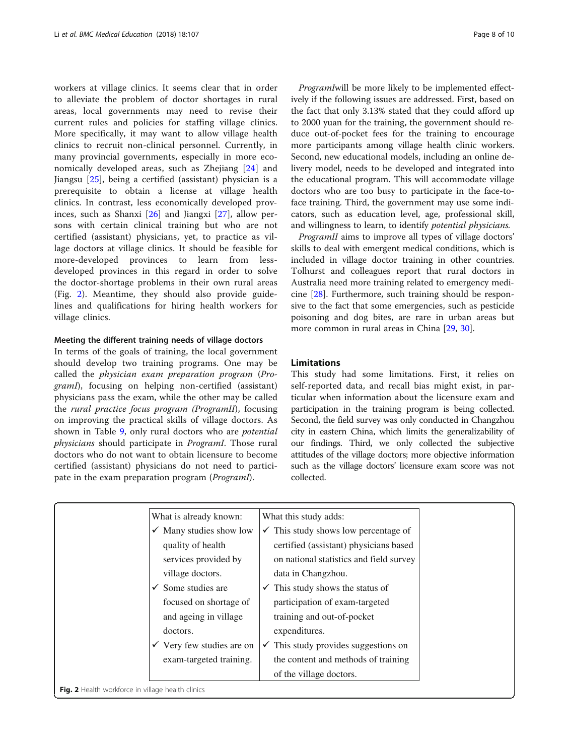workers at village clinics. It seems clear that in order to alleviate the problem of doctor shortages in rural areas, local governments may need to revise their current rules and policies for staffing village clinics. More specifically, it may want to allow village health clinics to recruit non-clinical personnel. Currently, in many provincial governments, especially in more economically developed areas, such as Zhejiang [\[24](#page-9-0)] and Jiangsu [[25\]](#page-9-0), being a certified (assistant) physician is a prerequisite to obtain a license at village health clinics. In contrast, less economically developed provinces, such as Shanxi [[26\]](#page-9-0) and Jiangxi [[27\]](#page-9-0), allow persons with certain clinical training but who are not certified (assistant) physicians, yet, to practice as village doctors at village clinics. It should be feasible for more-developed provinces to learn from lessdeveloped provinces in this regard in order to solve the doctor-shortage problems in their own rural areas (Fig. 2). Meantime, they should also provide guidelines and qualifications for hiring health workers for village clinics.

#### Meeting the different training needs of village doctors

In terms of the goals of training, the local government should develop two training programs. One may be called the physician exam preparation program (ProgramI), focusing on helping non-certified (assistant) physicians pass the exam, while the other may be called the rural practice focus program (ProgramII), focusing on improving the practical skills of village doctors. As shown in Table [9](#page-8-0), only rural doctors who are potential physicians should participate in ProgramI. Those rural doctors who do not want to obtain licensure to become certified (assistant) physicians do not need to participate in the exam preparation program (*ProgramI*).

ProgramIwill be more likely to be implemented effectively if the following issues are addressed. First, based on the fact that only 3.13% stated that they could afford up to 2000 yuan for the training, the government should reduce out-of-pocket fees for the training to encourage more participants among village health clinic workers. Second, new educational models, including an online delivery model, needs to be developed and integrated into the educational program. This will accommodate village doctors who are too busy to participate in the face-toface training. Third, the government may use some indicators, such as education level, age, professional skill, and willingness to learn, to identify potential physicians.

ProgramII aims to improve all types of village doctors' skills to deal with emergent medical conditions, which is included in village doctor training in other countries. Tolhurst and colleagues report that rural doctors in Australia need more training related to emergency medicine [\[28](#page-9-0)]. Furthermore, such training should be responsive to the fact that some emergencies, such as pesticide poisoning and dog bites, are rare in urban areas but more common in rural areas in China [\[29,](#page-9-0) [30\]](#page-9-0).

### Limitations

This study had some limitations. First, it relies on self-reported data, and recall bias might exist, in particular when information about the licensure exam and participation in the training program is being collected. Second, the field survey was only conducted in Changzhou city in eastern China, which limits the generalizability of our findings. Third, we only collected the subjective attitudes of the village doctors; more objective information such as the village doctors' licensure exam score was not collected.

| What is already known:                            | What this study adds:                           |
|---------------------------------------------------|-------------------------------------------------|
| $\checkmark$ Many studies show low                | $\checkmark$ This study shows low percentage of |
| quality of health                                 | certified (assistant) physicians based          |
| services provided by                              | on national statistics and field survey         |
| village doctors.                                  | data in Changzhou.                              |
| $\checkmark$ Some studies are                     | $\checkmark$ This study shows the status of     |
| focused on shortage of                            | participation of exam-targeted                  |
| and ageing in village                             | training and out-of-pocket                      |
| doctors.                                          | expenditures.                                   |
| $\checkmark$ Very few studies are on              | $\checkmark$ This study provides suggestions on |
| exam-targeted training.                           | the content and methods of training             |
|                                                   | of the village doctors.                         |
| Fig. 2 Health workforce in village health clinics |                                                 |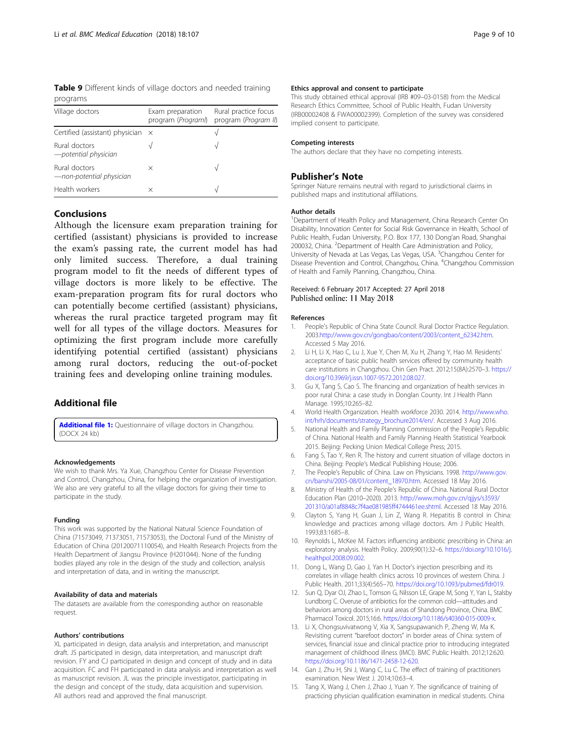<span id="page-8-0"></span>Table 9 Different kinds of village doctors and needed training programs

| Village doctors                           | Exam preparation<br>program (Programl) | Rural practice focus<br>program (Program II) |
|-------------------------------------------|----------------------------------------|----------------------------------------------|
| Certified (assistant) physician x         |                                        |                                              |
| Rural doctors<br>-potential physician     |                                        |                                              |
| Rural doctors<br>-non-potential physician | $\times$                               |                                              |
| Health workers                            | ×                                      | ٦Ι                                           |

### Conclusions

Although the licensure exam preparation training for certified (assistant) physicians is provided to increase the exam's passing rate, the current model has had only limited success. Therefore, a dual training program model to fit the needs of different types of village doctors is more likely to be effective. The exam-preparation program fits for rural doctors who can potentially become certified (assistant) physicians, whereas the rural practice targeted program may fit well for all types of the village doctors. Measures for optimizing the first program include more carefully identifying potential certified (assistant) physicians among rural doctors, reducing the out-of-pocket training fees and developing online training modules.

### Additional file

[Additional file 1:](https://doi.org/10.1186/s12909-018-1211-5) Questionnaire of village doctors in Changzhou. (DOCX 24 kb)

#### Acknowledgements

We wish to thank Mrs. Ya Xue, Changzhou Center for Disease Prevention and Control, Changzhou, China, for helping the organization of investigation. We also are very grateful to all the village doctors for giving their time to participate in the study.

#### Funding

This work was supported by the National Natural Science Foundation of China (71573049, 71373051, 71573053), the Doctoral Fund of the Ministry of Education of China (20120071110054), and Health Research Projects from the Health Department of Jiangsu Province (H201044). None of the funding bodies played any role in the design of the study and collection, analysis and interpretation of data, and in writing the manuscript.

#### Availability of data and materials

The datasets are available from the corresponding author on reasonable request.

#### Authors' contributions

XL participated in design, data analysis and interpretation, and manuscript draft. JS participated in design, data interpretation, and manuscript draft revision. FY and CJ participated in design and concept of study and in data acquisition. FC and FH participated in data analysis and interpretation as well as manuscript revision. JL was the principle investigator, participating in the design and concept of the study, data acquisition and supervision. All authors read and approved the final manuscript.

#### Ethics approval and consent to participate

This study obtained ethical approval (IRB #09–03-0158) from the Medical Research Ethics Committee, School of Public Health, Fudan University (IRB00002408 & FWA00002399). Completion of the survey was considered implied consent to participate.

#### Competing interests

The authors declare that they have no competing interests.

### Publisher's Note

Springer Nature remains neutral with regard to jurisdictional claims in published maps and institutional affiliations.

#### Author details

<sup>1</sup>Department of Health Policy and Management, China Research Center On Disability, Innovation Center for Social Risk Governance in Health, School of Public Health, Fudan University, P.O. Box 177, 130 Dong'an Road, Shanghai 200032, China. <sup>2</sup>Department of Health Care Administration and Policy, University of Nevada at Las Vegas, Las Vegas, USA. <sup>3</sup>Changzhou Center for Disease Prevention and Control, Changzhou, China. <sup>4</sup>Changzhou Commission of Health and Family Planning, Changzhou, China.

#### Received: 6 February 2017 Accepted: 27 April 2018 Published online: 11 May 2018

#### References

- 1. People's Republic of China State Council. Rural Doctor Practice Regulation. 2003.[http://www.gov.cn/gongbao/content/2003/content\\_62342.htm.](http://www.gov.cn/gongbao/content/2003/content_62342.htm) Accessed 5 May 2016.
- 2. Li H, Li X, Hao C, Lu J, Xue Y, Chen M, Xu H, Zhang Y, Hao M. Residents' acceptance of basic public health services offered by community health care institutions in Changzhou. Chin Gen Pract. 2012;15(8A):2570–3. [https://](https://doi.org/10.3969/j.issn.1007-9572.2012.08.027) [doi.org/10.3969/j.issn.1007-9572.2012.08.027](https://doi.org/10.3969/j.issn.1007-9572.2012.08.027).
- 3. Gu X, Tang S, Cao S. The financing and organization of health services in poor rural China: a case study in Donglan County. Int J Health Plann Manage. 1995;10:265–82.
- 4. World Health Organization. Health workforce 2030. 2014. [http://www.who.](http://www.who.int/hrh/documents/strategy_brochure2014/en/) [int/hrh/documents/strategy\\_brochure2014/en/.](http://www.who.int/hrh/documents/strategy_brochure2014/en/) Accessed 3 Aug 2016.
- 5. National Health and Family Planning Commission of the People's Republic of China. National Health and Family Planning Health Statistical Yearbook 2015. Beijing: Pecking Union Medical College Press; 2015.
- 6. Fang S, Tao Y, Ren R. The history and current situation of village doctors in China. Beijing: People's Medical Publishing House; 2006.
- 7. The People's Republic of China. Law on Physicians. 1998. [http://www.gov.](http://www.gov.cn/banshi/2005-08/01/content_18970.htm) [cn/banshi/2005-08/01/content\\_18970.htm](http://www.gov.cn/banshi/2005-08/01/content_18970.htm). Accessed 18 May 2016.
- 8. Ministry of Health of the People's Republic of China. National Rural Doctor Education Plan (2010–2020). 2013. [http://www.moh.gov.cn/qjjys/s3593/](http://www.moh.gov.cn/qjjys/s3593/201310/a01af8848c7f4ae081985ff4744461ee.shtml) [201310/a01af8848c7f4ae081985ff4744461ee.shtml.](http://www.moh.gov.cn/qjjys/s3593/201310/a01af8848c7f4ae081985ff4744461ee.shtml) Accessed 18 May 2016.
- 9. Clayton S, Yang H, Guan J, Lin Z, Wang R. Hepatitis B control in China: knowledge and practices among village doctors. Am J Public Health. 1993;83:1685–8.
- 10. Reynolds L, McKee M. Factors influencing antibiotic prescribing in China: an exploratory analysis. Health Policy. 2009;90(1):32–6. [https://doi.org/10.1016/j.](https://doi.org/10.1016/j.healthpol.2008.09.002) [healthpol.2008.09.002.](https://doi.org/10.1016/j.healthpol.2008.09.002)
- 11. Dong L, Wang D, Gao J, Yan H. Doctor's injection prescribing and its correlates in village health clinics across 10 provinces of western China. J Public Health. 2011;33(4):565–70. [https://doi.org/10.1093/pubmed/fdr019.](https://doi.org/10.1093/pubmed/fdr019)
- 12. Sun Q, Dyar OJ, Zhao L, Tomson G, Nilsson LE, Grape M, Song Y, Yan L, Stalsby Lundborg C. Overuse of antibiotics for the common cold—attitudes and behaviors among doctors in rural areas of Shandong Province, China. BMC Pharmacol Toxicol. 2015;16:6. [https://doi.org/10.1186/s40360-015-0009-x.](https://doi.org/10.1186/s40360-015-0009-x)
- 13. Li X, Chongsuvivatwong V, Xia X, Sangsupawanich P, Zheng W, Ma K. Revisiting current "barefoot doctors" in border areas of China: system of services, financial issue and clinical practice prior to introducing integrated management of childhood illness (IMCI). BMC Public Health. 2012;12:620. [https://doi.org/10.1186/1471-2458-12-620.](https://doi.org/10.1186/1471-2458-12-620)
- 14. Gan J, Zhu H, Shi J, Wang C, Lu C. The effect of training of practitioners examination. New West J. 2014;10:63–4.
- 15. Tang X, Wang J, Chen J, Zhao J, Yuan Y. The significance of training of practicing physician qualification examination in medical students. China